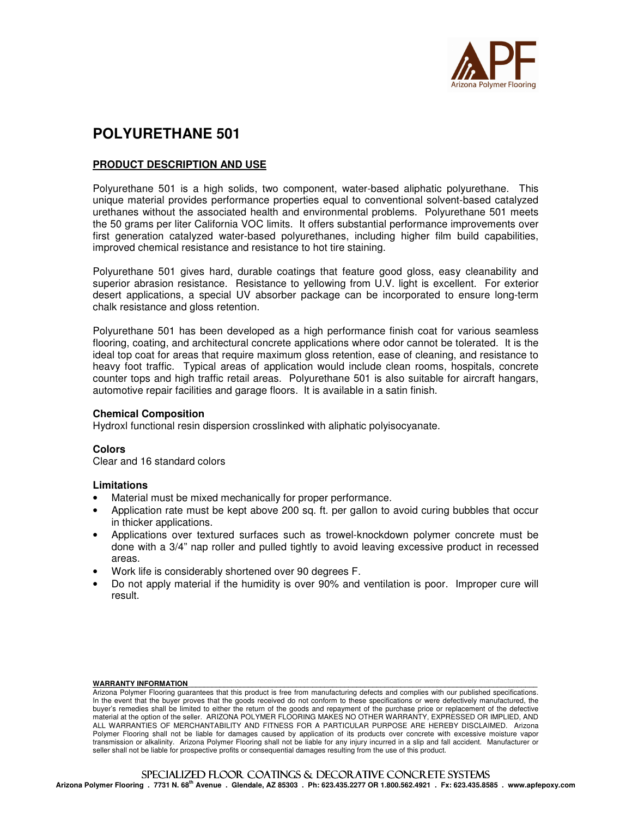

# **POLYURETHANE 501**

# **PRODUCT DESCRIPTION AND USE**

Polyurethane 501 is a high solids, two component, water-based aliphatic polyurethane. This unique material provides performance properties equal to conventional solvent-based catalyzed urethanes without the associated health and environmental problems. Polyurethane 501 meets the 50 grams per liter California VOC limits. It offers substantial performance improvements over first generation catalyzed water-based polyurethanes, including higher film build capabilities, improved chemical resistance and resistance to hot tire staining.

Polyurethane 501 gives hard, durable coatings that feature good gloss, easy cleanability and superior abrasion resistance. Resistance to yellowing from U.V. light is excellent. For exterior desert applications, a special UV absorber package can be incorporated to ensure long-term chalk resistance and gloss retention.

Polyurethane 501 has been developed as a high performance finish coat for various seamless flooring, coating, and architectural concrete applications where odor cannot be tolerated. It is the ideal top coat for areas that require maximum gloss retention, ease of cleaning, and resistance to heavy foot traffic. Typical areas of application would include clean rooms, hospitals, concrete counter tops and high traffic retail areas. Polyurethane 501 is also suitable for aircraft hangars, automotive repair facilities and garage floors. It is available in a satin finish.

#### **Chemical Composition**

Hydroxl functional resin dispersion crosslinked with aliphatic polyisocyanate.

# **Colors**

Clear and 16 standard colors

# **Limitations**

- Material must be mixed mechanically for proper performance.
- Application rate must be kept above 200 sq. ft. per gallon to avoid curing bubbles that occur in thicker applications.
- Applications over textured surfaces such as trowel-knockdown polymer concrete must be done with a 3/4" nap roller and pulled tightly to avoid leaving excessive product in recessed areas.
- Work life is considerably shortened over 90 degrees F.
- Do not apply material if the humidity is over 90% and ventilation is poor. Improper cure will result.

#### WARRANTY INFORMATION

**Arizona Polymer Flooring . 7731 N. 68th Avenue . Glendale, AZ 85303 . Ph: 623.435.2277 OR 1.800.562.4921 . Fx: 623.435.8585 . www.apfepoxy.com**

Arizona Polymer Flooring guarantees that this product is free from manufacturing defects and complies with our published specifications. In the event that the buyer proves that the goods received do not conform to these specifications or were defectively manufactured, the buyer's remedies shall be limited to either the return of the goods and repayment of the purchase price or replacement of the defective material at the option of the seller. ARIZONA POLYMER FLOORING MAKES NO OTHER WARRANTY, EXPRESSED OR IMPLIED, AND ALL WARRANTIES OF MERCHANTABILITY AND FITNESS FOR A PARTICULAR PURPOSE ARE HEREBY DISCLAIMED. Arizona Polymer Flooring shall not be liable for damages caused by application of its products over concrete with excessive moisture vapor transmission or alkalinity. Arizona Polymer Flooring shall not be liable for any injury incurred in a slip and fall accident. Manufacturer or seller shall not be liable for prospective profits or consequential damages resulting from the use of this product.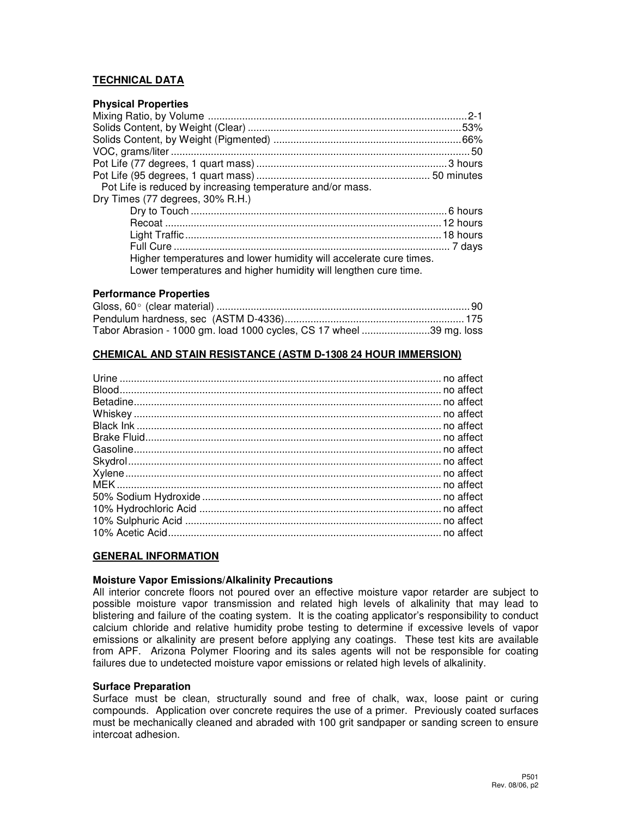# **TECHNICAL DATA**

### **Physical Properties**

| Pot Life is reduced by increasing temperature and/or mass.         |  |
|--------------------------------------------------------------------|--|
| Dry Times (77 degrees, 30% R.H.)                                   |  |
|                                                                    |  |
|                                                                    |  |
|                                                                    |  |
|                                                                    |  |
| Higher temperatures and lower humidity will accelerate cure times. |  |
| Lower temperatures and higher humidity will lengthen cure time.    |  |

#### **Performance Properties**

| Tabor Abrasion - 1000 gm. load 1000 cycles, CS 17 wheel 39 mg. loss |  |
|---------------------------------------------------------------------|--|

### **CHEMICAL AND STAIN RESISTANCE (ASTM D-1308 24 HOUR IMMERSION)**

#### **GENERAL INFORMATION**

### **Moisture Vapor Emissions/Alkalinity Precautions**

All interior concrete floors not poured over an effective moisture vapor retarder are subject to possible moisture vapor transmission and related high levels of alkalinity that may lead to blistering and failure of the coating system. It is the coating applicator's responsibility to conduct calcium chloride and relative humidity probe testing to determine if excessive levels of vapor emissions or alkalinity are present before applying any coatings. These test kits are available from APF. Arizona Polymer Flooring and its sales agents will not be responsible for coating failures due to undetected moisture vapor emissions or related high levels of alkalinity.

#### **Surface Preparation**

Surface must be clean, structurally sound and free of chalk, wax, loose paint or curing compounds. Application over concrete requires the use of a primer. Previously coated surfaces must be mechanically cleaned and abraded with 100 grit sandpaper or sanding screen to ensure intercoat adhesion.